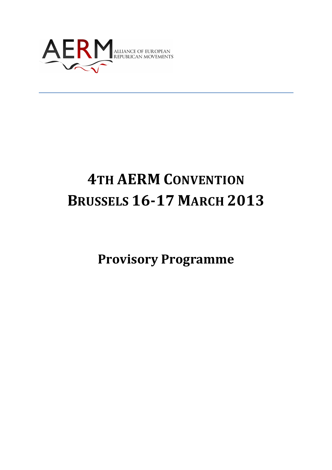

# **4TH AERM CONVENTION BRUSSELS 16-17 MARCH 2013**

**Provisory Programme**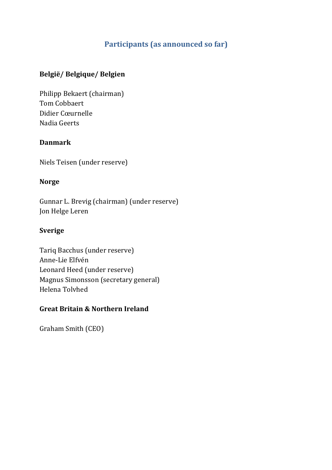## **Participants (as announced so far)**

#### **België/ Belgique/ Belgien**

Philipp Bekaert (chairman) Tom Cobbaert Didier Cœurnelle Nadia Geerts

#### **Danmark**

Niels Teisen (under reserve)

#### **Norge**

Gunnar L. Brevig (chairman) (under reserve) Jon Helge Leren

#### **Sverige**

Tariq Bacchus (under reserve) Anne-Lie Elfvén Leonard Heed (under reserve) Magnus Simonsson (secretary general) Helena Tolvhed

#### **Great Britain & Northern Ireland**

Graham Smith (CEO)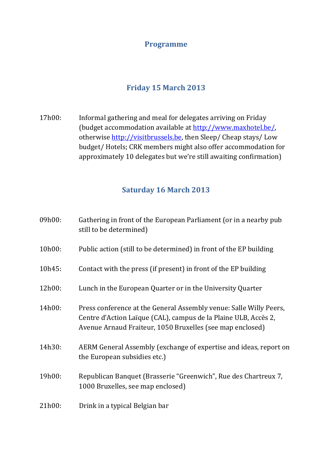#### **Programme**

### **Friday 15 March 2013**

17h00: Informal gathering and meal for delegates arriving on Friday (budget accommodation available at http://www.maxhotel.be/, otherwise http://visitbrussels.be, then Sleep/ Cheap stays/ Low budget/ Hotels; CRK members might also offer accommodation for approximately 10 delegates but we're still awaiting confirmation)

#### **Saturday 16 March 2013**

| 09h00: | Gathering in front of the European Parliament (or in a nearby pub<br>still to be determined)                                                                                                       |
|--------|----------------------------------------------------------------------------------------------------------------------------------------------------------------------------------------------------|
| 10h00: | Public action (still to be determined) in front of the EP building                                                                                                                                 |
| 10h45: | Contact with the press (if present) in front of the EP building                                                                                                                                    |
| 12h00: | Lunch in the European Quarter or in the University Quarter                                                                                                                                         |
| 14h00: | Press conference at the General Assembly venue: Salle Willy Peers,<br>Centre d'Action Laïque (CAL), campus de la Plaine ULB, Accès 2,<br>Avenue Arnaud Fraiteur, 1050 Bruxelles (see map enclosed) |
| 14h30: | AERM General Assembly (exchange of expertise and ideas, report on<br>the European subsidies etc.)                                                                                                  |
| 19h00: | Republican Banquet (Brasserie "Greenwich", Rue des Chartreux 7,<br>1000 Bruxelles, see map enclosed)                                                                                               |
| 21h00: | Drink in a typical Belgian bar                                                                                                                                                                     |